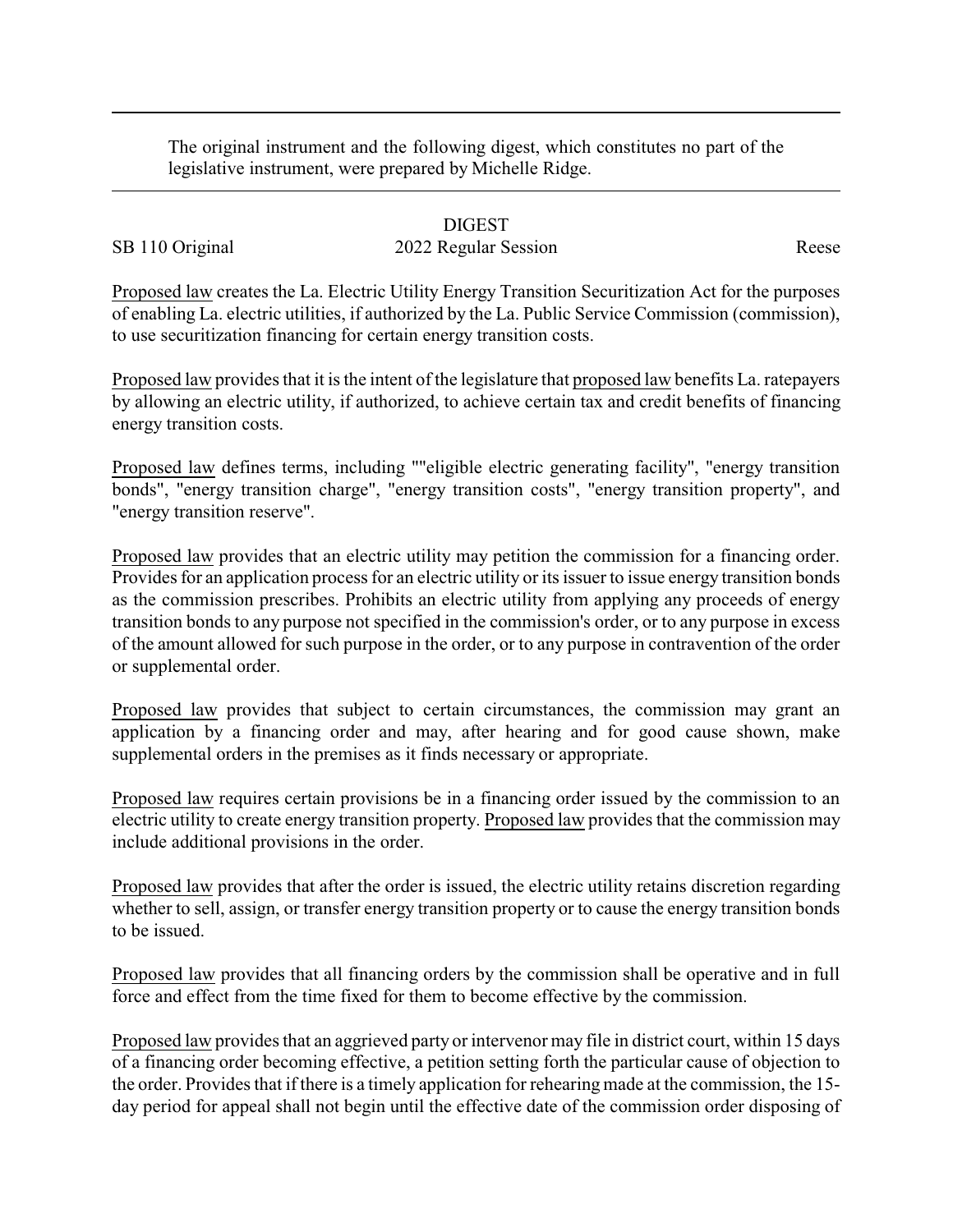The original instrument and the following digest, which constitutes no part of the legislative instrument, were prepared by Michelle Ridge.

## DIGEST

## SB 110 Original 2022 Regular Session Reese

Proposed law creates the La. Electric Utility Energy Transition Securitization Act for the purposes of enabling La. electric utilities, if authorized by the La. Public Service Commission (commission), to use securitization financing for certain energy transition costs.

Proposed law provides that it is the intent of the legislature that proposed law benefits La. ratepayers by allowing an electric utility, if authorized, to achieve certain tax and credit benefits of financing energy transition costs.

Proposed law defines terms, including ""eligible electric generating facility", "energy transition bonds", "energy transition charge", "energy transition costs", "energy transition property", and "energy transition reserve".

Proposed law provides that an electric utility may petition the commission for a financing order. Provides for an application process for an electric utility or its issuer to issue energy transition bonds as the commission prescribes. Prohibits an electric utility from applying any proceeds of energy transition bonds to any purpose not specified in the commission's order, or to any purpose in excess of the amount allowed for such purpose in the order, or to any purpose in contravention of the order or supplemental order.

Proposed law provides that subject to certain circumstances, the commission may grant an application by a financing order and may, after hearing and for good cause shown, make supplemental orders in the premises as it finds necessary or appropriate.

Proposed law requires certain provisions be in a financing order issued by the commission to an electric utility to create energy transition property. Proposed law provides that the commission may include additional provisions in the order.

Proposed law provides that after the order is issued, the electric utility retains discretion regarding whether to sell, assign, or transfer energy transition property or to cause the energy transition bonds to be issued.

Proposed law provides that all financing orders by the commission shall be operative and in full force and effect from the time fixed for them to become effective by the commission.

Proposed law provides that an aggrieved party or intervenor may file in district court, within 15 days of a financing order becoming effective, a petition setting forth the particular cause of objection to the order. Provides that if there is a timely application for rehearingmade at the commission, the 15 day period for appeal shall not begin until the effective date of the commission order disposing of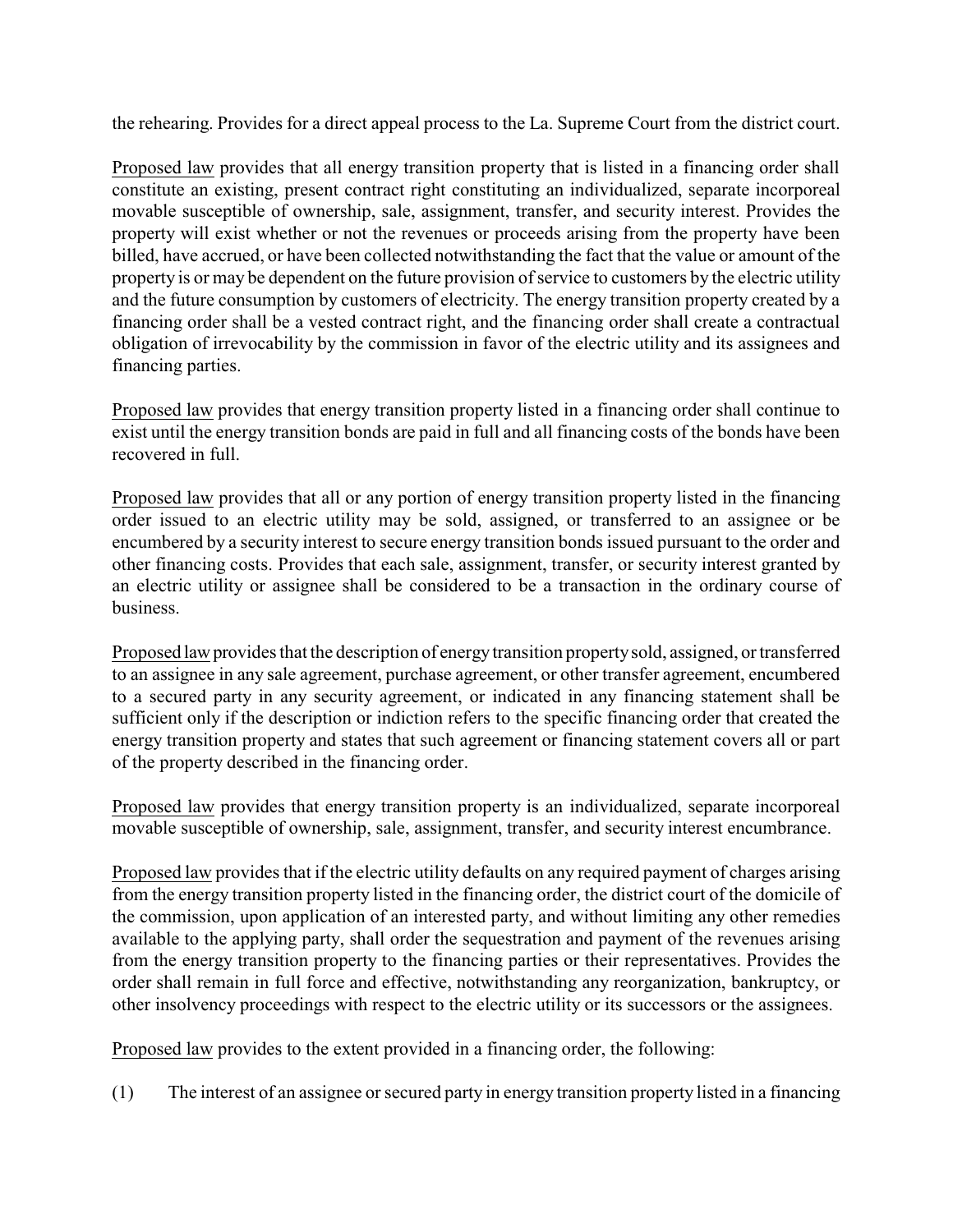the rehearing. Provides for a direct appeal process to the La. Supreme Court from the district court.

Proposed law provides that all energy transition property that is listed in a financing order shall constitute an existing, present contract right constituting an individualized, separate incorporeal movable susceptible of ownership, sale, assignment, transfer, and security interest. Provides the property will exist whether or not the revenues or proceeds arising from the property have been billed, have accrued, or have been collected notwithstanding the fact that the value or amount of the property is or may be dependent on the future provision of service to customers by the electric utility and the future consumption by customers of electricity. The energy transition property created by a financing order shall be a vested contract right, and the financing order shall create a contractual obligation of irrevocability by the commission in favor of the electric utility and its assignees and financing parties.

Proposed law provides that energy transition property listed in a financing order shall continue to exist until the energy transition bonds are paid in full and all financing costs of the bonds have been recovered in full.

Proposed law provides that all or any portion of energy transition property listed in the financing order issued to an electric utility may be sold, assigned, or transferred to an assignee or be encumbered by a security interest to secure energy transition bonds issued pursuant to the order and other financing costs. Provides that each sale, assignment, transfer, or security interest granted by an electric utility or assignee shall be considered to be a transaction in the ordinary course of business.

Proposed lawprovides that the description of energytransition propertysold, assigned, or transferred to an assignee in any sale agreement, purchase agreement, or other transfer agreement, encumbered to a secured party in any security agreement, or indicated in any financing statement shall be sufficient only if the description or indiction refers to the specific financing order that created the energy transition property and states that such agreement or financing statement covers all or part of the property described in the financing order.

Proposed law provides that energy transition property is an individualized, separate incorporeal movable susceptible of ownership, sale, assignment, transfer, and security interest encumbrance.

Proposed law provides that if the electric utility defaults on any required payment of charges arising from the energy transition property listed in the financing order, the district court of the domicile of the commission, upon application of an interested party, and without limiting any other remedies available to the applying party, shall order the sequestration and payment of the revenues arising from the energy transition property to the financing parties or their representatives. Provides the order shall remain in full force and effective, notwithstanding any reorganization, bankruptcy, or other insolvency proceedings with respect to the electric utility or its successors or the assignees.

Proposed law provides to the extent provided in a financing order, the following:

(1) The interest of an assignee or secured party in energy transition property listed in a financing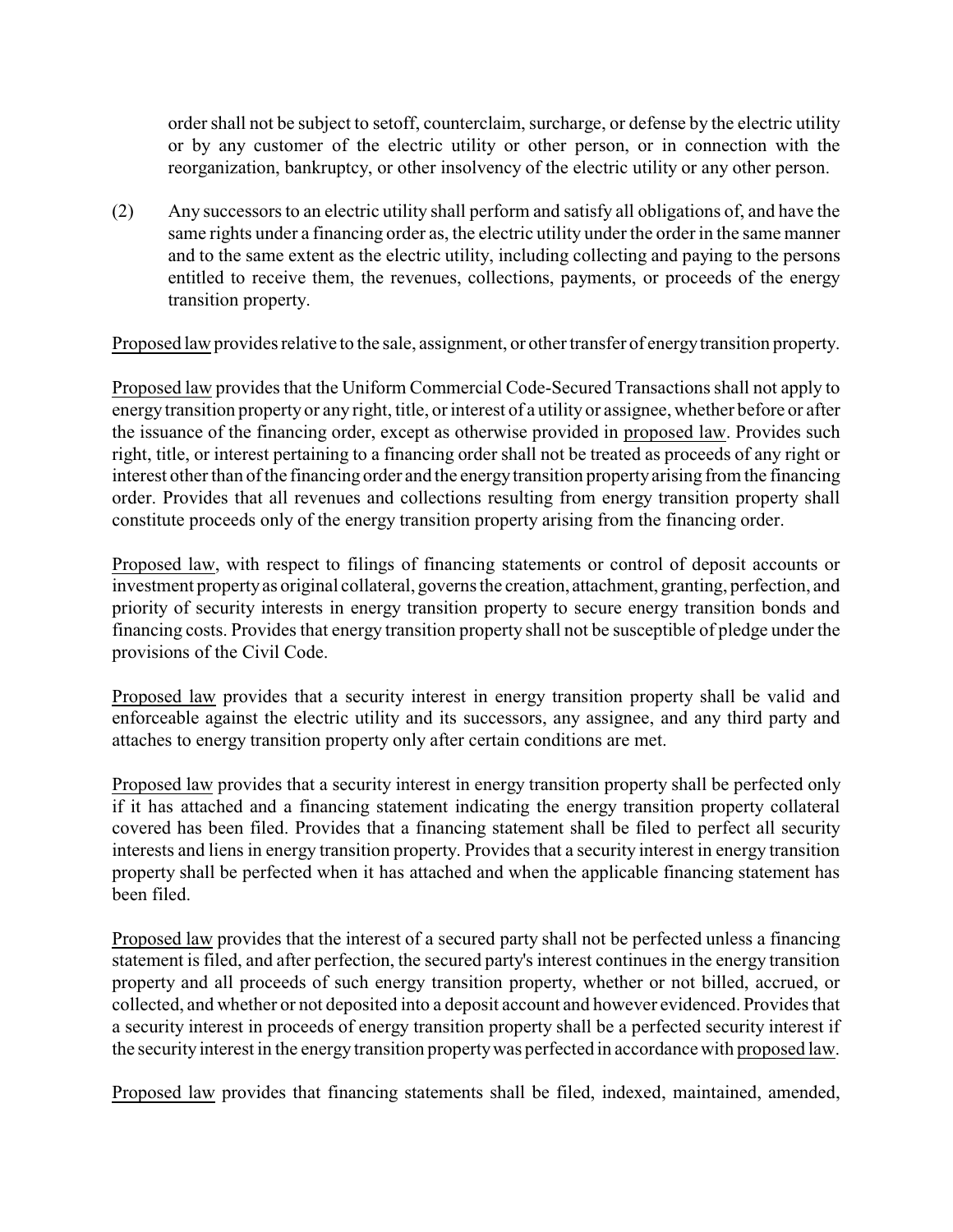order shall not be subject to setoff, counterclaim, surcharge, or defense by the electric utility or by any customer of the electric utility or other person, or in connection with the reorganization, bankruptcy, or other insolvency of the electric utility or any other person.

(2) Any successors to an electric utility shall perform and satisfy all obligations of, and have the same rights under a financing order as, the electric utility under the order in the same manner and to the same extent as the electric utility, including collecting and paying to the persons entitled to receive them, the revenues, collections, payments, or proceeds of the energy transition property.

Proposed law provides relative to the sale, assignment, or other transfer of energytransition property.

Proposed law provides that the Uniform Commercial Code-Secured Transactions shall not apply to energy transition property or any right, title, or interest of a utility or assignee, whether before or after the issuance of the financing order, except as otherwise provided in proposed law. Provides such right, title, or interest pertaining to a financing order shall not be treated as proceeds of any right or interest other than of the financing order and the energytransition propertyarising from the financing order. Provides that all revenues and collections resulting from energy transition property shall constitute proceeds only of the energy transition property arising from the financing order.

Proposed law, with respect to filings of financing statements or control of deposit accounts or investment propertyas original collateral, governs the creation, attachment, granting, perfection, and priority of security interests in energy transition property to secure energy transition bonds and financing costs. Provides that energy transition property shall not be susceptible of pledge under the provisions of the Civil Code.

Proposed law provides that a security interest in energy transition property shall be valid and enforceable against the electric utility and its successors, any assignee, and any third party and attaches to energy transition property only after certain conditions are met.

Proposed law provides that a security interest in energy transition property shall be perfected only if it has attached and a financing statement indicating the energy transition property collateral covered has been filed. Provides that a financing statement shall be filed to perfect all security interests and liens in energy transition property. Provides that a security interest in energy transition property shall be perfected when it has attached and when the applicable financing statement has been filed.

Proposed law provides that the interest of a secured party shall not be perfected unless a financing statement is filed, and after perfection, the secured party's interest continues in the energy transition property and all proceeds of such energy transition property, whether or not billed, accrued, or collected, and whether or not deposited into a deposit account and however evidenced. Provides that a security interest in proceeds of energy transition property shall be a perfected security interest if the security interest in the energy transition property was perfected in accordance with proposed law.

Proposed law provides that financing statements shall be filed, indexed, maintained, amended,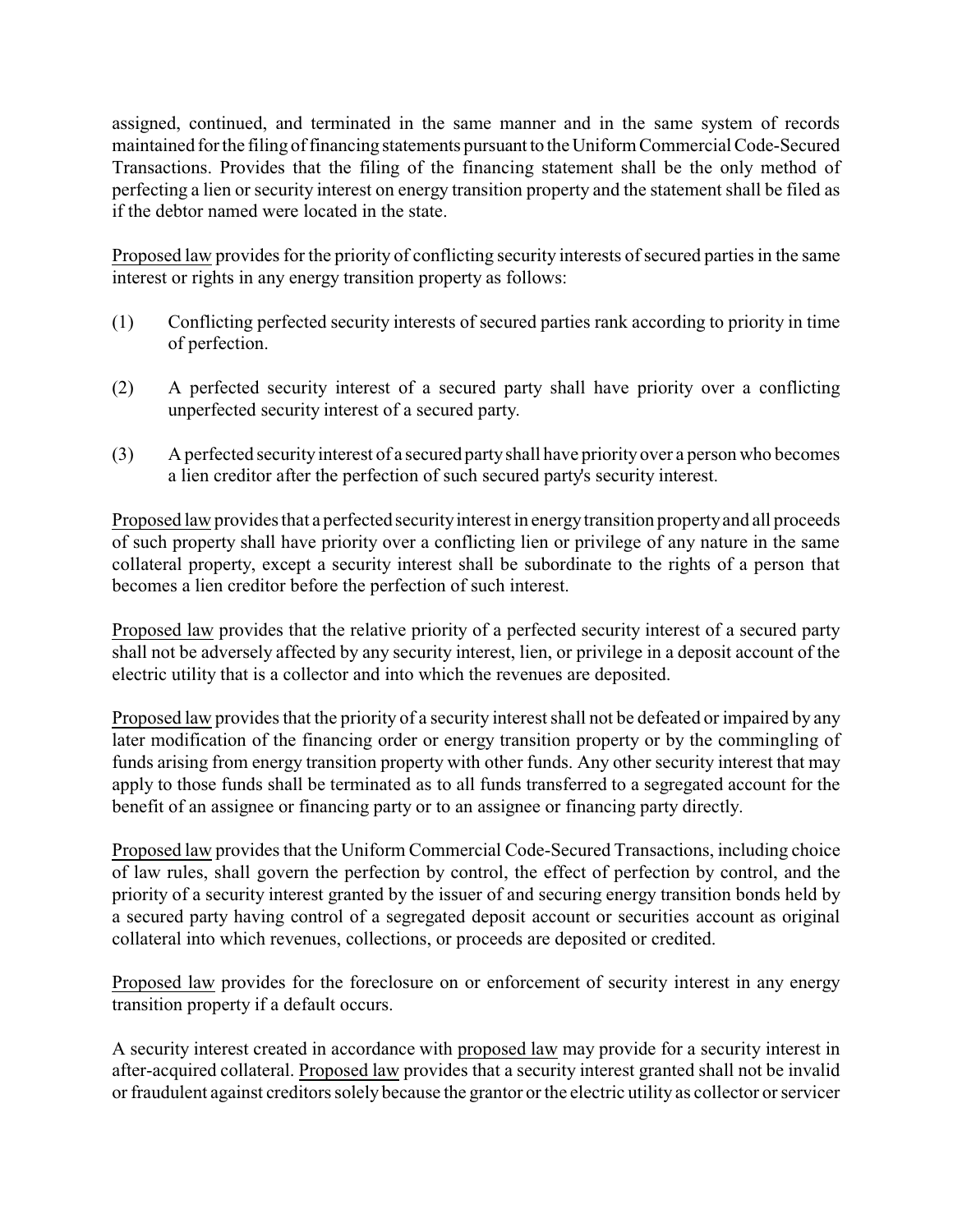assigned, continued, and terminated in the same manner and in the same system of records maintained for the filing of financing statements pursuant to the Uniform Commercial Code-Secured Transactions. Provides that the filing of the financing statement shall be the only method of perfecting a lien or security interest on energy transition property and the statement shall be filed as if the debtor named were located in the state.

Proposed law provides for the priority of conflicting security interests of secured parties in the same interest or rights in any energy transition property as follows:

- (1) Conflicting perfected security interests of secured parties rank according to priority in time of perfection.
- (2) A perfected security interest of a secured party shall have priority over a conflicting unperfected security interest of a secured party.
- (3) A perfected security interest of a secured party shall have priority over a person who becomes a lien creditor after the perfection of such secured party's security interest.

Proposed law provides that a perfected security interest in energy transition property and all proceeds of such property shall have priority over a conflicting lien or privilege of any nature in the same collateral property, except a security interest shall be subordinate to the rights of a person that becomes a lien creditor before the perfection of such interest.

Proposed law provides that the relative priority of a perfected security interest of a secured party shall not be adversely affected by any security interest, lien, or privilege in a deposit account of the electric utility that is a collector and into which the revenues are deposited.

Proposed law provides that the priority of a security interest shall not be defeated or impaired by any later modification of the financing order or energy transition property or by the commingling of funds arising from energy transition property with other funds. Any other security interest that may apply to those funds shall be terminated as to all funds transferred to a segregated account for the benefit of an assignee or financing party or to an assignee or financing party directly.

Proposed law provides that the Uniform Commercial Code-Secured Transactions, including choice of law rules, shall govern the perfection by control, the effect of perfection by control, and the priority of a security interest granted by the issuer of and securing energy transition bonds held by a secured party having control of a segregated deposit account or securities account as original collateral into which revenues, collections, or proceeds are deposited or credited.

Proposed law provides for the foreclosure on or enforcement of security interest in any energy transition property if a default occurs.

A security interest created in accordance with proposed law may provide for a security interest in after-acquired collateral. Proposed law provides that a security interest granted shall not be invalid or fraudulent against creditors solely because the grantor or the electric utility as collector or servicer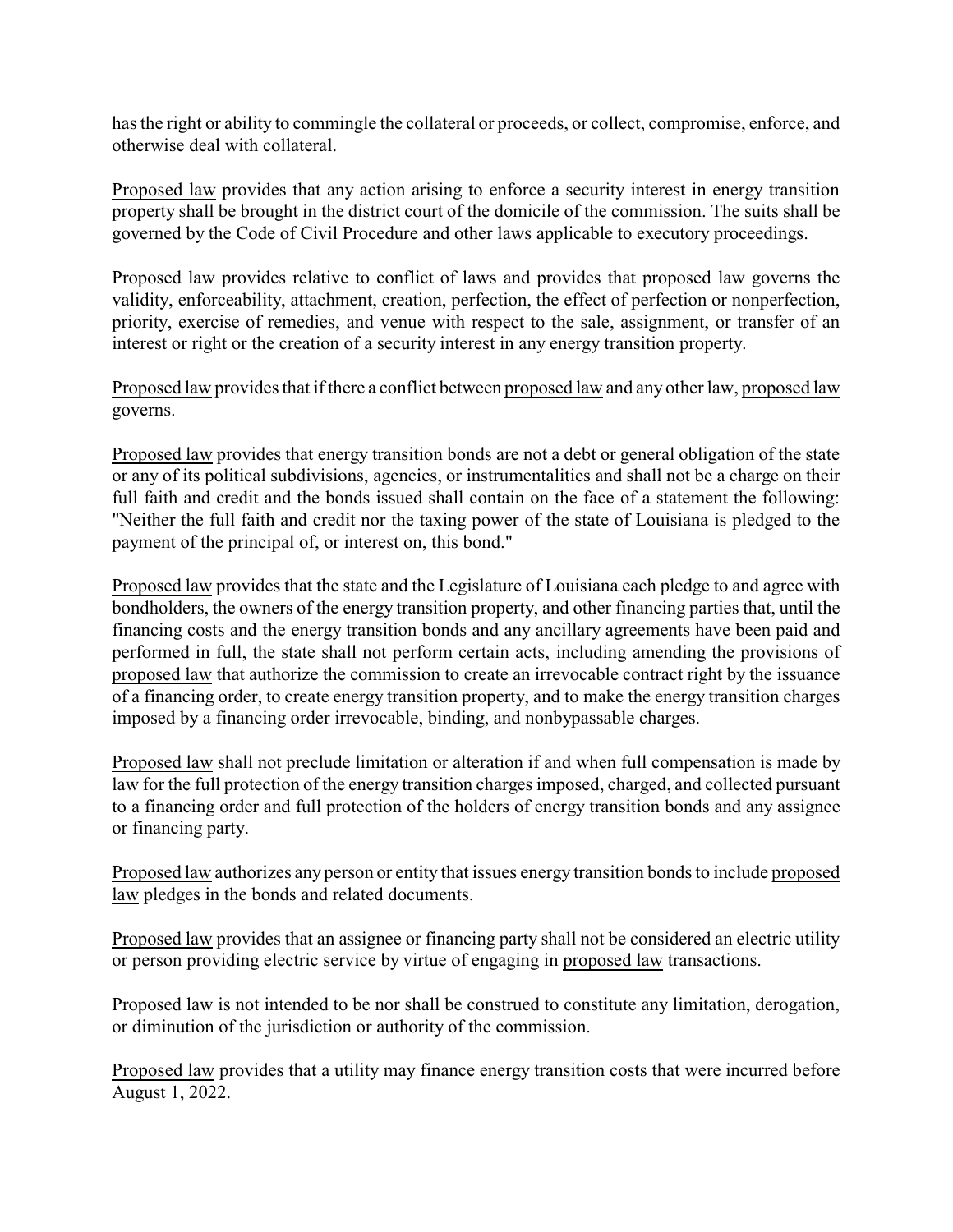has the right or ability to commingle the collateral or proceeds, or collect, compromise, enforce, and otherwise deal with collateral.

Proposed law provides that any action arising to enforce a security interest in energy transition property shall be brought in the district court of the domicile of the commission. The suits shall be governed by the Code of Civil Procedure and other laws applicable to executory proceedings.

Proposed law provides relative to conflict of laws and provides that proposed law governs the validity, enforceability, attachment, creation, perfection, the effect of perfection or nonperfection, priority, exercise of remedies, and venue with respect to the sale, assignment, or transfer of an interest or right or the creation of a security interest in any energy transition property.

Proposed law provides that if there a conflict between proposed law and any other law, proposed law governs.

Proposed law provides that energy transition bonds are not a debt or general obligation of the state or any of its political subdivisions, agencies, or instrumentalities and shall not be a charge on their full faith and credit and the bonds issued shall contain on the face of a statement the following: "Neither the full faith and credit nor the taxing power of the state of Louisiana is pledged to the payment of the principal of, or interest on, this bond."

Proposed law provides that the state and the Legislature of Louisiana each pledge to and agree with bondholders, the owners of the energy transition property, and other financing parties that, until the financing costs and the energy transition bonds and any ancillary agreements have been paid and performed in full, the state shall not perform certain acts, including amending the provisions of proposed law that authorize the commission to create an irrevocable contract right by the issuance of a financing order, to create energy transition property, and to make the energy transition charges imposed by a financing order irrevocable, binding, and nonbypassable charges.

Proposed law shall not preclude limitation or alteration if and when full compensation is made by law for the full protection of the energy transition charges imposed, charged, and collected pursuant to a financing order and full protection of the holders of energy transition bonds and any assignee or financing party.

Proposed law authorizes any person or entity that issues energy transition bonds to include proposed law pledges in the bonds and related documents.

Proposed law provides that an assignee or financing party shall not be considered an electric utility or person providing electric service by virtue of engaging in proposed law transactions.

Proposed law is not intended to be nor shall be construed to constitute any limitation, derogation, or diminution of the jurisdiction or authority of the commission.

Proposed law provides that a utility may finance energy transition costs that were incurred before August 1, 2022.